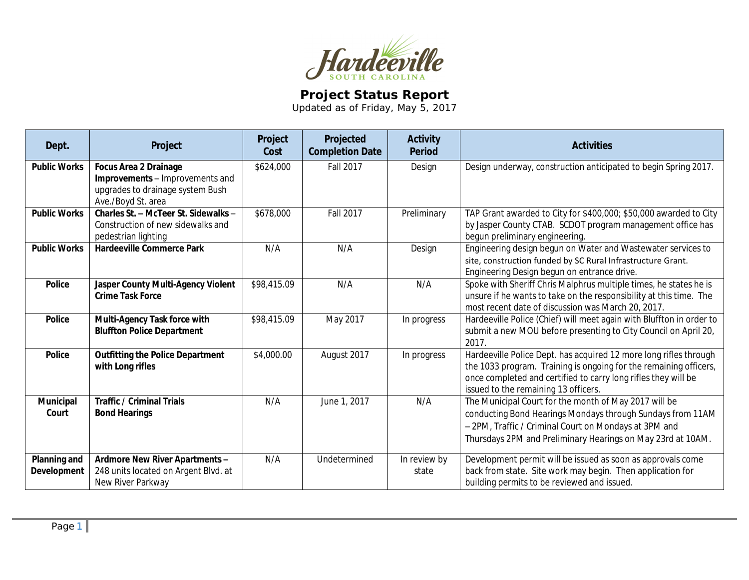

## **Project Status Report**

Updated as of Friday, May 5, 2017

| Dept.                                     | Project                                                                                                                   | Project<br>Cost | Projected<br><b>Completion Date</b> | <b>Activity</b><br><b>Period</b> | <b>Activities</b>                                                                                                                                                                                                                                |
|-------------------------------------------|---------------------------------------------------------------------------------------------------------------------------|-----------------|-------------------------------------|----------------------------------|--------------------------------------------------------------------------------------------------------------------------------------------------------------------------------------------------------------------------------------------------|
| <b>Public Works</b>                       | <b>Focus Area 2 Drainage</b><br>Improvements - Improvements and<br>upgrades to drainage system Bush<br>Ave./Boyd St. area | \$624,000       | <b>Fall 2017</b>                    | Design                           | Design underway, construction anticipated to begin Spring 2017.                                                                                                                                                                                  |
| <b>Public Works</b>                       | Charles St. - McTeer St. Sidewalks -<br>Construction of new sidewalks and<br>pedestrian lighting                          | \$678,000       | <b>Fall 2017</b>                    | Preliminary                      | TAP Grant awarded to City for \$400,000; \$50,000 awarded to City<br>by Jasper County CTAB. SCDOT program management office has<br>begun preliminary engineering.                                                                                |
| <b>Public Works</b>                       | <b>Hardeeville Commerce Park</b>                                                                                          | N/A             | N/A                                 | Design                           | Engineering design begun on Water and Wastewater services to<br>site, construction funded by SC Rural Infrastructure Grant.<br>Engineering Design begun on entrance drive.                                                                       |
| <b>Police</b>                             | Jasper County Multi-Agency Violent<br><b>Crime Task Force</b>                                                             | \$98,415.09     | N/A                                 | N/A                              | Spoke with Sheriff Chris Malphrus multiple times, he states he is<br>unsure if he wants to take on the responsibility at this time. The<br>most recent date of discussion was March 20, 2017.                                                    |
| <b>Police</b>                             | Multi-Agency Task force with<br><b>Bluffton Police Department</b>                                                         | \$98,415.09     | May 2017                            | In progress                      | Hardeeville Police (Chief) will meet again with Bluffton in order to<br>submit a new MOU before presenting to City Council on April 20,<br>2017.                                                                                                 |
| <b>Police</b>                             | <b>Outfitting the Police Department</b><br>with Long rifles                                                               | \$4,000.00      | August 2017                         | In progress                      | Hardeeville Police Dept. has acquired 12 more long rifles through<br>the 1033 program. Training is ongoing for the remaining officers,<br>once completed and certified to carry long rifles they will be<br>issued to the remaining 13 officers. |
| <b>Municipal</b><br>Court                 | <b>Traffic / Criminal Trials</b><br><b>Bond Hearings</b>                                                                  | N/A             | June 1, 2017                        | N/A                              | The Municipal Court for the month of May 2017 will be<br>conducting Bond Hearings Mondays through Sundays from 11AM<br>- 2PM, Traffic / Criminal Court on Mondays at 3PM and<br>Thursdays 2PM and Preliminary Hearings on May 23rd at 10AM.      |
| <b>Planning and</b><br><b>Development</b> | Ardmore New River Apartments -<br>248 units located on Argent Blvd. at<br>New River Parkway                               | N/A             | Undetermined                        | In review by<br>state            | Development permit will be issued as soon as approvals come<br>back from state. Site work may begin. Then application for<br>building permits to be reviewed and issued.                                                                         |